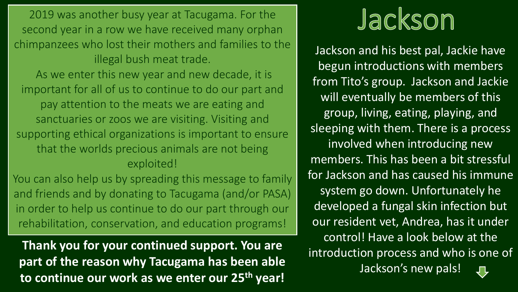2019 was another busy year at Tacugama. For the second year in a row we have received many orphan chimpanzees who lost their mothers and families to the illegal bush meat trade.

As we enter this new year and new decade, it is important for all of us to continue to do our part and pay attention to the meats we are eating and sanctuaries or zoos we are visiting. Visiting and supporting ethical organizations is important to ensure that the worlds precious animals are not being exploited!

You can also help us by spreading this message to family and friends and by donating to Tacugama (and/or PASA) in order to help us continue to do our part through our rehabilitation, conservation, and education programs!

**Thank you for your continued support. You are part of the reason why Tacugama has been able to continue our work as we enter our 25th year!**

## Jackson

Jackson and his best pal, Jackie have begun introductions with members from Tito's group. Jackson and Jackie will eventually be members of this group, living, eating, playing, and sleeping with them. There is a process involved when introducing new members. This has been a bit stressful for Jackson and has caused his immune system go down. Unfortunately he developed a fungal skin infection but our resident vet, Andrea, has it under control! Have a look below at the introduction process and who is one of Jackson's new pals!